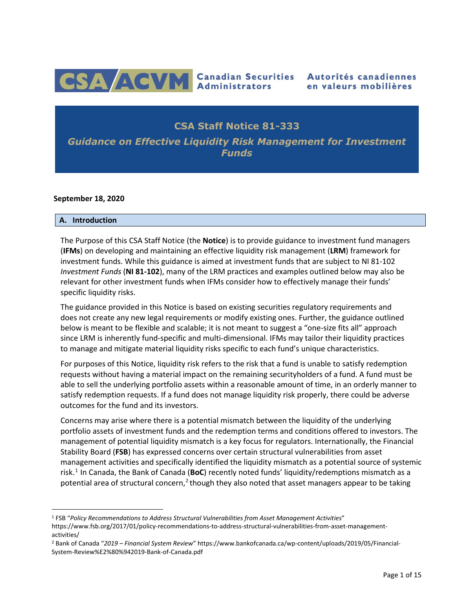

# **CSA Staff Notice 81-333**

*Guidance on Effective Liquidity Risk Management for Investment Funds*

#### **September 18, 2020**

#### **A. Introduction**

The Purpose of this CSA Staff Notice (the **Notice**) is to provide guidance to investment fund managers (**IFMs**) on developing and maintaining an effective liquidity risk management (**LRM**) framework for investment funds. While this guidance is aimed at investment funds that are subject to NI 81-102 *Investment Funds* (**NI 81-102**), many of the LRM practices and examples outlined below may also be relevant for other investment funds when IFMs consider how to effectively manage their funds' specific liquidity risks.

The guidance provided in this Notice is based on existing securities regulatory requirements and does not create any new legal requirements or modify existing ones. Further, the guidance outlined below is meant to be flexible and scalable; it is not meant to suggest a "one-size fits all" approach since LRM is inherently fund-specific and multi-dimensional. IFMs may tailor their liquidity practices to manage and mitigate material liquidity risks specific to each fund's unique characteristics.

For purposes of this Notice, liquidity risk refers to the risk that a fund is unable to satisfy redemption requests without having a material impact on the remaining securityholders of a fund. A fund must be able to sell the underlying portfolio assets within a reasonable amount of time, in an orderly manner to satisfy redemption requests. If a fund does not manage liquidity risk properly, there could be adverse outcomes for the fund and its investors.

Concerns may arise where there is a potential mismatch between the liquidity of the underlying portfolio assets of investment funds and the redemption terms and conditions offered to investors. The management of potential liquidity mismatch is a key focus for regulators. Internationally, the Financial Stability Board (**FSB**) has expressed concerns over certain structural vulnerabilities from asset management activities and specifically identified the liquidity mismatch as a potential source of systemic risk.[1](#page-0-0) In Canada, the Bank of Canada (**BoC**) recently noted funds' liquidity/redemptions mismatch as a potential area of structural concern,<sup>[2](#page-0-1)</sup> though they also noted that asset managers appear to be taking

<span id="page-0-0"></span> <sup>1</sup> FSB "*Policy Recommendations to Address Structural Vulnerabilities from Asset Management Activities*" http[s://www.fsb.org/2017/01/policy-recommendations-to-address-structural-vulnerabilities-from-asset-management](http://www.fsb.org/2017/01/policy-recommendations-to-address-structural-vulnerabilities-from-asset-management-)activities/

<span id="page-0-1"></span><sup>2</sup> Bank of Canada "*2019 – Financial System Review*" http[s://www.bankofcanada.ca/wp-content/uploads/2019/05/Financial-](http://www.bankofcanada.ca/wp-content/uploads/2019/05/Financial-)System-Review%E2%80%942019-Bank-of-Canada.pdf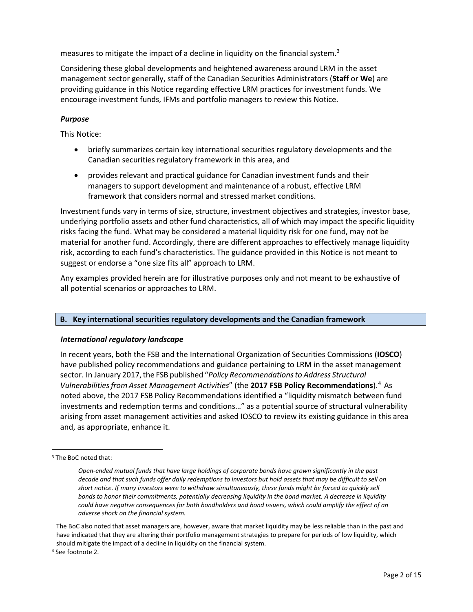measures to mitigate the impact of a decline in liquidity on the financial system.<sup>[3](#page-1-0)</sup>

Considering these global developments and heightened awareness around LRM in the asset management sector generally, staff of the Canadian Securities Administrators (**Staff** or **We**) are providing guidance in this Notice regarding effective LRM practices for investment funds. We encourage investment funds, IFMs and portfolio managers to review this Notice.

## *Purpose*

This Notice:

- briefly summarizes certain key international securities regulatory developments and the Canadian securities regulatory framework in this area, and
- provides relevant and practical guidance for Canadian investment funds and their managers to support development and maintenance of a robust, effective LRM framework that considers normal and stressed market conditions.

Investment funds vary in terms of size, structure, investment objectives and strategies, investor base, underlying portfolio assets and other fund characteristics, all of which may impact the specific liquidity risks facing the fund. What may be considered a material liquidity risk for one fund, may not be material for another fund. Accordingly, there are different approaches to effectively manage liquidity risk, according to each fund's characteristics. The guidance provided in this Notice is not meant to suggest or endorse a "one size fits all" approach to LRM.

Any examples provided herein are for illustrative purposes only and not meant to be exhaustive of all potential scenarios or approaches to LRM.

## **B. Key international securities regulatory developments and the Canadian framework**

## *International regulatory landscape*

In recent years, both the FSB and the International Organization of Securities Commissions (**IOSCO**) have published policy recommendations and guidance pertaining to LRM in the asset management sector. In January 2017,the FSB published "*Policy Recommendationsto Address Structural VulnerabilitiesfromAsset Management Activities*" (the **2017 FSB Policy Recommendations**). [4](#page-1-1) As noted above, the 2017 FSB Policy Recommendations identified a "liquidity mismatch between fund investments and redemption terms and conditions…" as a potential source of structural vulnerability arising from asset management activities and asked IOSCO to review its existing guidance in this area and, as appropriate, enhance it.

The BoC also noted that asset managers are, however, aware that market liquidity may be less reliable than in the past and have indicated that they are altering their portfolio management strategies to prepare for periods of low liquidity, which should mitigate the impact of a decline in liquidity on the financial system.

<span id="page-1-1"></span><sup>4</sup> See footnote 2.

<span id="page-1-0"></span> <sup>3</sup> The BoC noted that:

*Open-ended mutual funds that have large holdings of corporate bonds have grown significantly in the past decade and that such funds offer daily redemptions to investors but hold assets that may be difficult to sell on short notice. If many investors were to withdraw simultaneously, these funds might be forced to quickly sell bonds to honor their commitments, potentially decreasing liquidity in the bond market. A decrease in liquidity could have negative consequences for both bondholders and bond issuers, which could amplify the effect of an adverse shock on the financial system.*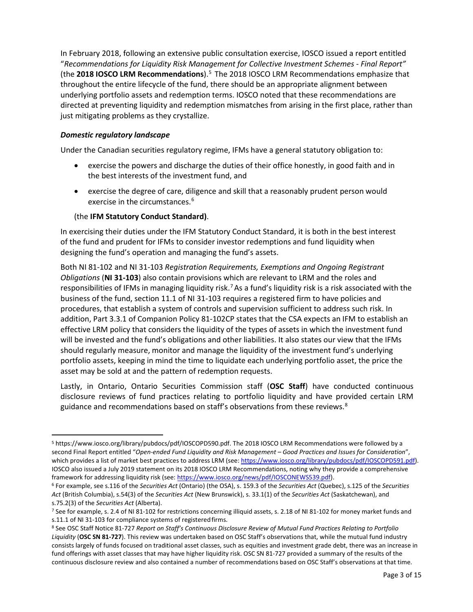In February 2018, following an extensive public consultation exercise, IOSCO issued a report entitled "*Recommendations for Liquidity Risk Management for Collective Investment Schemes - Final Report"*  (the **2018 IOSCO LRM Recommendations**). [5](#page-2-0) The 2018 IOSCO LRM Recommendations emphasize that throughout the entire lifecycle of the fund, there should be an appropriate alignment between underlying portfolio assets and redemption terms. IOSCO noted that these recommendations are directed at preventing liquidity and redemption mismatches from arising in the first place, rather than just mitigating problems as they crystallize.

## *Domestic regulatory landscape*

Under the Canadian securities regulatory regime, IFMs have a general statutory obligation to:

- exercise the powers and discharge the duties of their office honestly, in good faith and in the best interests of the investment fund, and
- exercise the degree of care, diligence and skill that a reasonably prudent person would exercise in the circumstances.<sup>[6](#page-2-1)</sup>

### (the **IFM Statutory Conduct Standard)**.

In exercising their duties under the IFM Statutory Conduct Standard, it is both in the best interest of the fund and prudent for IFMs to consider investor redemptions and fund liquidity when designing the fund's operation and managing the fund's assets.

Both NI 81-102 and NI 31-103 *Registration Requirements, Exemptions and Ongoing Registrant Obligations* (**NI 31-103**) also contain provisions which are relevant to LRM and the roles and responsibilities of IFMs in managing liquidity risk.<sup>[7](#page-2-2)</sup> As a fund's liquidity risk is a risk associated with the business of the fund, section 11.1 of NI 31-103 requires a registered firm to have policies and procedures, that establish a system of controls and supervision sufficient to address such risk. In addition, Part 3.3.1 of Companion Policy 81-102CP states that the CSA expects an IFM to establish an effective LRM policy that considers the liquidity of the types of assets in which the investment fund will be invested and the fund's obligations and other liabilities. It also states our view that the IFMs should regularly measure, monitor and manage the liquidity of the investment fund's underlying portfolio assets, keeping in mind the time to liquidate each underlying portfolio asset, the price the asset may be sold at and the pattern of redemption requests.

Lastly, in Ontario, Ontario Securities Commission staff (**OSC Staff**) have conducted continuous disclosure reviews of fund practices relating to portfolio liquidity and have provided certain LRM guidance and recommendations based on staff's observations from these reviews.<sup>[8](#page-2-3)</sup>

<span id="page-2-0"></span> <sup>5</sup> http[s://www.iosco.org/library/pubdocs/pdf/IOSCOPD590.pdf.](http://www.iosco.org/library/pubdocs/pdf/IOSCOPD590.pdf) The 2018 IOSCO LRM Recommendations were followed by a second Final Report entitled "*Open-ended Fund Liquidity and Risk Management – Good Practices and Issues for Consideration*", which provides a list of market best practices to address LRM (see[: https://www.iosco.org/library/pubdocs/pdf/IOSCOPD591.pdf\)](https://www.iosco.org/library/pubdocs/pdf/IOSCOPD591.pdf). IOSCO also issued a July 2019 statement on its 2018 IOSCO LRM Recommendations, noting why they provide a comprehensive framework for addressing liquidity risk (see[: https://www.iosco.org/news/pdf/IOSCONEWS539.pdf\)](https://www.iosco.org/news/pdf/IOSCONEWS539.pdf).<br><sup>6</sup> For example, see s.116 of the *Securities Act* (Ontario) (the OSA), s. 159.3 of the *Securities Act* (Quebec), s.125 of th

<span id="page-2-1"></span>*Act* (British Columbia), s.54(3) of the *Securities Act* (New Brunswick), s. 33.1(1) of the *Securities Act* (Saskatchewan), and s.75.2(3) of the *Securities Act* (Alberta).

<span id="page-2-2"></span><sup>&</sup>lt;sup>7</sup> See for example, s. 2.4 of NI 81-102 for restrictions concerning illiquid assets, s. 2.18 of NI 81-102 for money market funds and s.11.1 of NI 31-103 for compliance systems of registered firms.<br><sup>8</sup> See OSC Staff Notice 81-727 *Report on Staff's Continuous Disclosure Review of Mutual Fund Practices Relating to Portfolio* 

<span id="page-2-3"></span>*Liquidity* (**OSC SN 81-727**). This review was undertaken based on OSC Staff's observations that, while the mutual fund industry consists largely of funds focused on traditional asset classes, such as equities and investment grade debt, there was an increase in fund offerings with asset classes that may have higher liquidity risk. OSC SN 81-727 provided a summary of the results of the continuous disclosure review and also contained a number of recommendations based on OSC Staff's observations at that time.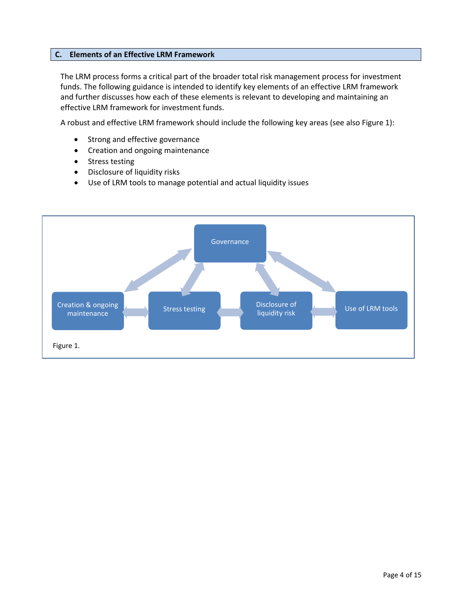### **C. Elements of an Effective LRM Framework**

The LRM process forms a critical part of the broader total risk management process for investment funds. The following guidance is intended to identify key elements of an effective LRM framework and further discusses how each of these elements is relevant to developing and maintaining an effective LRM framework for investment funds.

A robust and effective LRM framework should include the following key areas (see also Figure 1):

- Strong and effective governance
- Creation and ongoing maintenance
- Stress testing
- Disclosure of liquidity risks
- Use of LRM tools to manage potential and actual liquidity issues

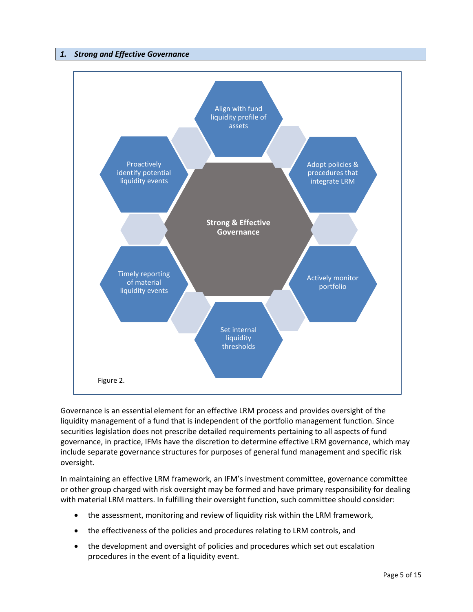### *1. Strong and Effective Governance*



Governance is an essential element for an effective LRM process and provides oversight of the liquidity management of a fund that is independent of the portfolio management function. Since securities legislation does not prescribe detailed requirements pertaining to all aspects of fund governance, in practice, IFMs have the discretion to determine effective LRM governance, which may include separate governance structures for purposes of general fund management and specific risk oversight.

In maintaining an effective LRM framework, an IFM's investment committee, governance committee or other group charged with risk oversight may be formed and have primary responsibility for dealing with material LRM matters. In fulfilling their oversight function, such committee should consider:

- the assessment, monitoring and review of liquidity risk within the LRM framework,
- the effectiveness of the policies and procedures relating to LRM controls, and
- the development and oversight of policies and procedures which set out escalation procedures in the event of a liquidity event.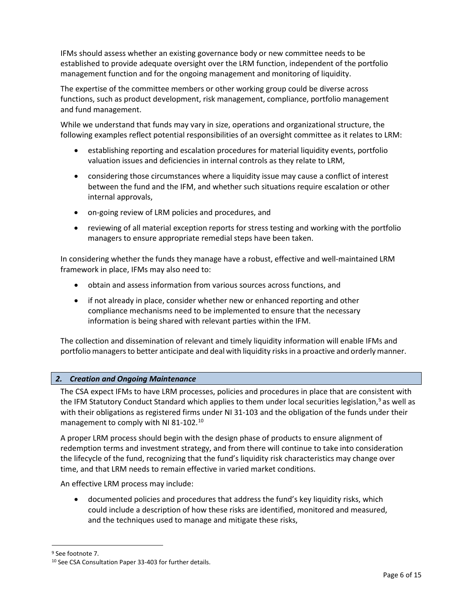IFMs should assess whether an existing governance body or new committee needs to be established to provide adequate oversight over the LRM function, independent of the portfolio management function and for the ongoing management and monitoring of liquidity.

The expertise of the committee members or other working group could be diverse across functions, such as product development, risk management, compliance, portfolio management and fund management.

While we understand that funds may vary in size, operations and organizational structure, the following examples reflect potential responsibilities of an oversight committee as it relates to LRM:

- establishing reporting and escalation procedures for material liquidity events, portfolio valuation issues and deficiencies in internal controls as they relate to LRM,
- considering those circumstances where a liquidity issue may cause a conflict of interest between the fund and the IFM, and whether such situations require escalation or other internal approvals,
- on-going review of LRM policies and procedures, and
- reviewing of all material exception reports for stress testing and working with the portfolio managers to ensure appropriate remedial steps have been taken.

In considering whether the funds they manage have a robust, effective and well-maintained LRM framework in place, IFMs may also need to:

- obtain and assess information from various sources across functions, and
- if not already in place, consider whether new or enhanced reporting and other compliance mechanisms need to be implemented to ensure that the necessary information is being shared with relevant parties within the IFM.

The collection and dissemination of relevant and timely liquidity information will enable IFMs and portfolio managers to better anticipate and deal with liquidity risks in a proactive and orderly manner.

## *2. Creation and Ongoing Maintenance*

The CSA expect IFMs to have LRM processes, policies and procedures in place that are consistent with the IFM Statutory Conduct Standard which applies to them under local securities legislation,<sup>[9](#page-5-0)</sup> as well as with their obligations as registered firms under NI 31-103 and the obligation of the funds under their management to comply with NI 81-102.[10](#page-5-1)

A proper LRM process should begin with the design phase of products to ensure alignment of redemption terms and investment strategy, and from there will continue to take into consideration the lifecycle of the fund, recognizing that the fund's liquidity risk characteristics may change over time, and that LRM needs to remain effective in varied market conditions.

An effective LRM process may include:

• documented policies and procedures that address the fund's key liquidity risks, which could include a description of how these risks are identified, monitored and measured, and the techniques used to manage and mitigate these risks,

<span id="page-5-0"></span><sup>&</sup>lt;sup>9</sup> See footnote 7.

<span id="page-5-1"></span><sup>10</sup> See CSA Consultation Paper 33-403 for further details.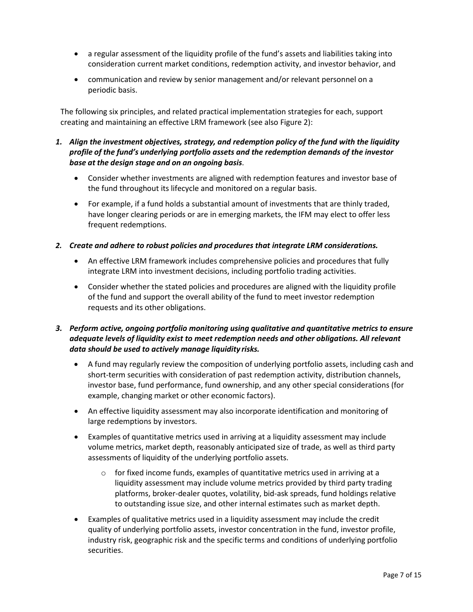- a regular assessment of the liquidity profile of the fund's assets and liabilities taking into consideration current market conditions, redemption activity, and investor behavior, and
- communication and review by senior management and/or relevant personnel on a periodic basis.

The following six principles, and related practical implementation strategies for each, support creating and maintaining an effective LRM framework (see also Figure 2):

## *1. Align the investment objectives, strategy, and redemption policy of the fund with the liquidity profile of the fund's underlying portfolio assets and the redemption demands of the investor base at the design stage and on an ongoing basis*.

- Consider whether investments are aligned with redemption features and investor base of the fund throughout its lifecycle and monitored on a regular basis.
- For example, if a fund holds a substantial amount of investments that are thinly traded, have longer clearing periods or are in emerging markets, the IFM may elect to offer less frequent redemptions.

## *2. Create and adhere to robust policies and procedures that integrate LRM considerations.*

- An effective LRM framework includes comprehensive policies and procedures that fully integrate LRM into investment decisions, including portfolio trading activities.
- Consider whether the stated policies and procedures are aligned with the liquidity profile of the fund and support the overall ability of the fund to meet investor redemption requests and its other obligations.

## *3. Perform active, ongoing portfolio monitoring using qualitative and quantitative metrics to ensure adequate levels of liquidity exist to meet redemption needs and other obligations. All relevant data should be used to actively manage liquidity risks.*

- A fund may regularly review the composition of underlying portfolio assets, including cash and short-term securities with consideration of past redemption activity, distribution channels, investor base, fund performance, fund ownership, and any other special considerations (for example, changing market or other economic factors).
- An effective liquidity assessment may also incorporate identification and monitoring of large redemptions by investors.
- Examples of quantitative metrics used in arriving at a liquidity assessment may include volume metrics, market depth, reasonably anticipated size of trade, as well as third party assessments of liquidity of the underlying portfolio assets.
	- $\circ$  for fixed income funds, examples of quantitative metrics used in arriving at a liquidity assessment may include volume metrics provided by third party trading platforms, broker-dealer quotes, volatility, bid-ask spreads, fund holdings relative to outstanding issue size, and other internal estimates such as market depth.
- Examples of qualitative metrics used in a liquidity assessment may include the credit quality of underlying portfolio assets, investor concentration in the fund, investor profile, industry risk, geographic risk and the specific terms and conditions of underlying portfolio securities.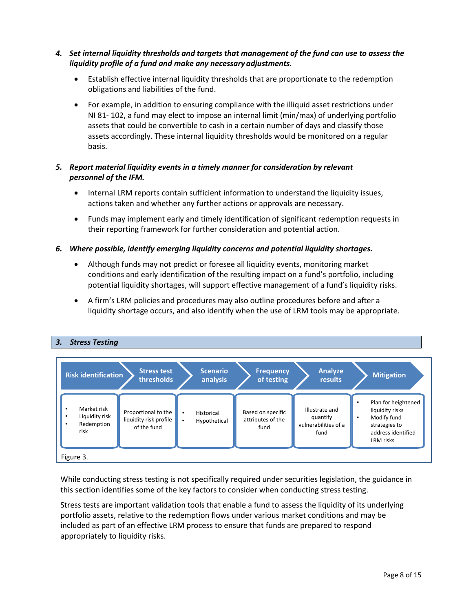- *4. Set internal liquidity thresholds and targets that management of the fund can use to assess the liquidity profile of a fund and make any necessary adjustments.*
	- Establish effective internal liquidity thresholds that are proportionate to the redemption obligations and liabilities of the fund.
	- For example, in addition to ensuring compliance with the illiquid asset restrictions under NI 81- 102, a fund may elect to impose an internal limit (min/max) of underlying portfolio assets that could be convertible to cash in a certain number of days and classify those assets accordingly. These internal liquidity thresholds would be monitored on a regular basis.

## *5. Report material liquidity events in a timely manner for consideration by relevant personnel of the IFM.*

- Internal LRM reports contain sufficient information to understand the liquidity issues, actions taken and whether any further actions or approvals are necessary.
- Funds may implement early and timely identification of significant redemption requests in their reporting framework for further consideration and potential action.

## *6. Where possible, identify emerging liquidity concerns and potential liquidity shortages.*

- Although funds may not predict or foresee all liquidity events, monitoring market conditions and early identification of the resulting impact on a fund's portfolio, including potential liquidity shortages, will support effective management of a fund's liquidity risks.
- A firm's LRM policies and procedures may also outline procedures before and after a liquidity shortage occurs, and also identify when the use of LRM tools may be appropriate.



While conducting stress testing is not specifically required under securities legislation, the guidance in this section identifies some of the key factors to consider when conducting stress testing.

Stress tests are important validation tools that enable a fund to assess the liquidity of its underlying portfolio assets, relative to the redemption flows under various market conditions and may be included as part of an effective LRM process to ensure that funds are prepared to respond appropriately to liquidity risks.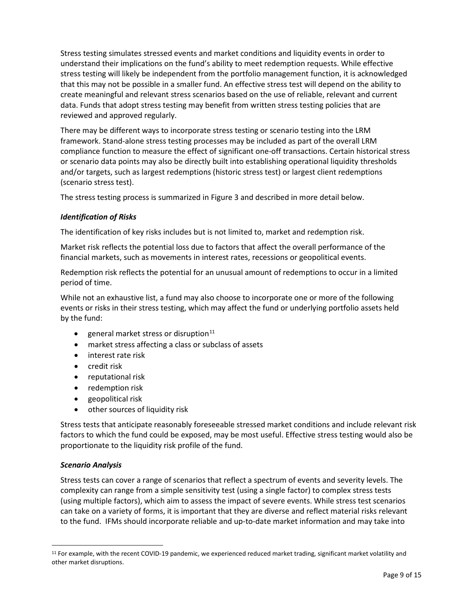Stress testing simulates stressed events and market conditions and liquidity events in order to understand their implications on the fund's ability to meet redemption requests. While effective stress testing will likely be independent from the portfolio management function, it is acknowledged that this may not be possible in a smaller fund. An effective stress test will depend on the ability to create meaningful and relevant stress scenarios based on the use of reliable, relevant and current data. Funds that adopt stress testing may benefit from written stress testing policies that are reviewed and approved regularly.

There may be different ways to incorporate stress testing or scenario testing into the LRM framework. Stand-alone stress testing processes may be included as part of the overall LRM compliance function to measure the effect of significant one-off transactions. Certain historical stress or scenario data points may also be directly built into establishing operational liquidity thresholds and/or targets, such as largest redemptions (historic stress test) or largest client redemptions (scenario stress test).

The stress testing process is summarized in Figure 3 and described in more detail below.

## *Identification of Risks*

The identification of key risks includes but is not limited to, market and redemption risk.

Market risk reflects the potential loss due to factors that affect the overall performance of the financial markets, such as movements in interest rates, recessions or geopolitical events.

Redemption risk reflects the potential for an unusual amount of redemptions to occur in a limited period of time.

While not an exhaustive list, a fund may also choose to incorporate one or more of the following events or risks in their stress testing, which may affect the fund or underlying portfolio assets held by the fund:

- general market stress or disruption $11$
- market stress affecting a class or subclass of assets
- interest rate risk
- credit risk
- reputational risk
- redemption risk
- geopolitical risk
- other sources of liquidity risk

Stress tests that anticipate reasonably foreseeable stressed market conditions and include relevant risk factors to which the fund could be exposed, may be most useful. Effective stress testing would also be proportionate to the liquidity risk profile of the fund.

## *Scenario Analysis*

Stress tests can cover a range of scenarios that reflect a spectrum of events and severity levels. The complexity can range from a simple sensitivity test (using a single factor) to complex stress tests (using multiple factors), which aim to assess the impact of severe events. While stress test scenarios can take on a variety of forms, it is important that they are diverse and reflect material risks relevant to the fund. IFMs should incorporate reliable and up-to-date market information and may take into

<span id="page-8-0"></span><sup>&</sup>lt;sup>11</sup> For example, with the recent COVID-19 pandemic, we experienced reduced market trading, significant market volatility and other market disruptions.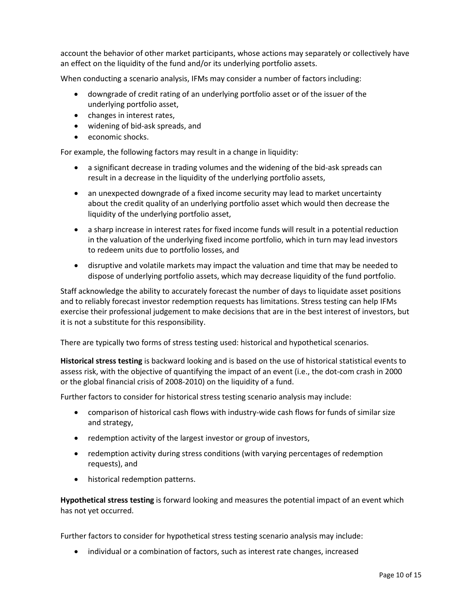account the behavior of other market participants, whose actions may separately or collectively have an effect on the liquidity of the fund and/or its underlying portfolio assets.

When conducting a scenario analysis, IFMs may consider a number of factors including:

- downgrade of credit rating of an underlying portfolio asset or of the issuer of the underlying portfolio asset,
- changes in interest rates,
- widening of bid-ask spreads, and
- economic shocks.

For example, the following factors may result in a change in liquidity:

- a significant decrease in trading volumes and the widening of the bid-ask spreads can result in a decrease in the liquidity of the underlying portfolio assets,
- an unexpected downgrade of a fixed income security may lead to market uncertainty about the credit quality of an underlying portfolio asset which would then decrease the liquidity of the underlying portfolio asset,
- a sharp increase in interest rates for fixed income funds will result in a potential reduction in the valuation of the underlying fixed income portfolio, which in turn may lead investors to redeem units due to portfolio losses, and
- disruptive and volatile markets may impact the valuation and time that may be needed to dispose of underlying portfolio assets, which may decrease liquidity of the fund portfolio.

Staff acknowledge the ability to accurately forecast the number of days to liquidate asset positions and to reliably forecast investor redemption requests has limitations. Stress testing can help IFMs exercise their professional judgement to make decisions that are in the best interest of investors, but it is not a substitute for this responsibility.

There are typically two forms of stress testing used: historical and hypothetical scenarios.

**Historical stress testing** is backward looking and is based on the use of historical statistical events to assess risk, with the objective of quantifying the impact of an event (i.e., the dot-com crash in 2000 or the global financial crisis of 2008-2010) on the liquidity of a fund.

Further factors to consider for historical stress testing scenario analysis may include:

- comparison of historical cash flows with industry-wide cash flows for funds of similar size and strategy,
- redemption activity of the largest investor or group of investors,
- redemption activity during stress conditions (with varying percentages of redemption requests), and
- historical redemption patterns.

**Hypothetical stress testing** is forward looking and measures the potential impact of an event which has not yet occurred.

Further factors to consider for hypothetical stress testing scenario analysis may include:

• individual or a combination of factors, such as interest rate changes, increased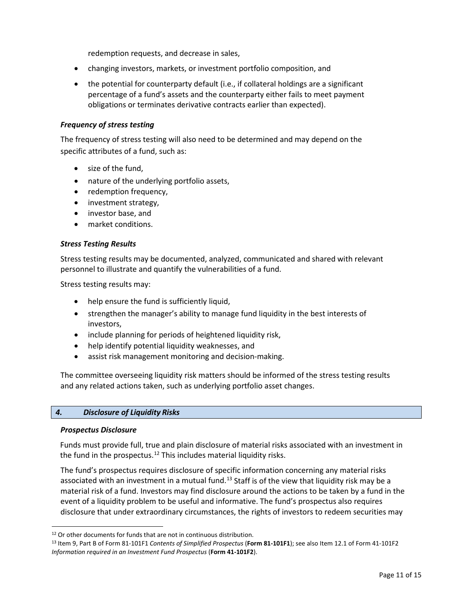redemption requests, and decrease in sales,

- changing investors, markets, or investment portfolio composition, and
- the potential for counterparty default (i.e., if collateral holdings are a significant percentage of a fund's assets and the counterparty either fails to meet payment obligations or terminates derivative contracts earlier than expected).

#### *Frequency of stress testing*

The frequency of stress testing will also need to be determined and may depend on the specific attributes of a fund, such as:

- size of the fund,
- nature of the underlying portfolio assets,
- redemption frequency,
- investment strategy,
- investor base, and
- market conditions.

### *Stress Testing Results*

Stress testing results may be documented, analyzed, communicated and shared with relevant personnel to illustrate and quantify the vulnerabilities of a fund.

Stress testing results may:

- help ensure the fund is sufficiently liquid,
- strengthen the manager's ability to manage fund liquidity in the best interests of investors,
- include planning for periods of heightened liquidity risk,
- help identify potential liquidity weaknesses, and
- assist risk management monitoring and decision-making.

The committee overseeing liquidity risk matters should be informed of the stress testing results and any related actions taken, such as underlying portfolio asset changes.

### *4. Disclosure of Liquidity Risks*

#### *Prospectus Disclosure*

Funds must provide full, true and plain disclosure of material risks associated with an investment in the fund in the prospectus. [12](#page-10-0) This includes material liquidity risks.

The fund's prospectus requires disclosure of specific information concerning any material risks associated with an investment in a mutual fund.<sup>[13](#page-10-1)</sup> Staff is of the view that liquidity risk may be a material risk of a fund. Investors may find disclosure around the actions to be taken by a fund in the event of a liquidity problem to be useful and informative. The fund's prospectus also requires disclosure that under extraordinary circumstances, the rights of investors to redeem securities may

<span id="page-10-1"></span><span id="page-10-0"></span><sup>&</sup>lt;sup>12</sup> Or other documents for funds that are not in continuous distribution.<br><sup>13</sup> Item 9, Part B of Form 81-101F1 *Contents of Simplified Prospectus* (**Form 81-101F1**); see also Item 12.1 of Form 41-101F2 *Information required in an Investment Fund Prospectus* (**Form 41-101F2**).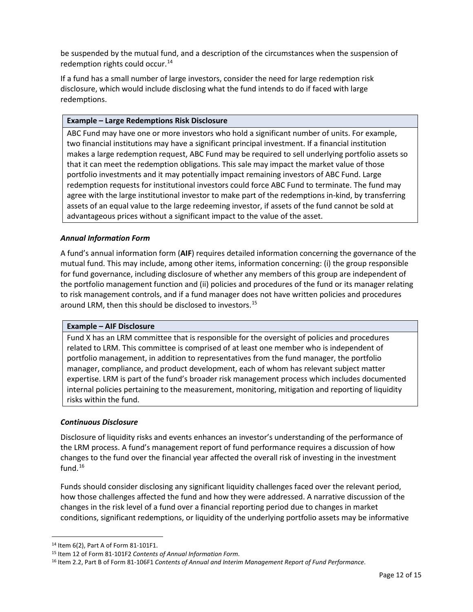be suspended by the mutual fund, and a description of the circumstances when the suspension of redemption rights could occur. [14](#page-11-0)

If a fund has a small number of large investors, consider the need for large redemption risk disclosure, which would include disclosing what the fund intends to do if faced with large redemptions.

### **Example – Large Redemptions Risk Disclosure**

ABC Fund may have one or more investors who hold a significant number of units. For example, two financial institutions may have a significant principal investment. If a financial institution makes a large redemption request, ABC Fund may be required to sell underlying portfolio assets so that it can meet the redemption obligations. This sale may impact the market value of those portfolio investments and it may potentially impact remaining investors of ABC Fund. Large redemption requests for institutional investors could force ABC Fund to terminate. The fund may agree with the large institutional investor to make part of the redemptions in-kind, by transferring assets of an equal value to the large redeeming investor, if assets of the fund cannot be sold at advantageous prices without a significant impact to the value of the asset.

## *Annual Information Form*

A fund's annual information form (**AIF**) requires detailed information concerning the governance of the mutual fund. This may include, among other items, information concerning: (i) the group responsible for fund governance, including disclosure of whether any members of this group are independent of the portfolio management function and (ii) policies and procedures of the fund or its manager relating to risk management controls, and if a fund manager does not have written policies and procedures around LRM, then this should be disclosed to investors. [15](#page-11-1)

#### **Example – AIF Disclosure**

Fund X has an LRM committee that is responsible for the oversight of policies and procedures related to LRM. This committee is comprised of at least one member who is independent of portfolio management, in addition to representatives from the fund manager, the portfolio manager, compliance, and product development, each of whom has relevant subject matter expertise. LRM is part of the fund's broader risk management process which includes documented internal policies pertaining to the measurement, monitoring, mitigation and reporting of liquidity risks within the fund.

## *Continuous Disclosure*

Disclosure of liquidity risks and events enhances an investor's understanding of the performance of the LRM process. A fund's management report of fund performance requires a discussion of how changes to the fund over the financial year affected the overall risk of investing in the investment fund. [16](#page-11-2)

Funds should consider disclosing any significant liquidity challenges faced over the relevant period, how those challenges affected the fund and how they were addressed. A narrative discussion of the changes in the risk level of a fund over a financial reporting period due to changes in market conditions, significant redemptions, or liquidity of the underlying portfolio assets may be informative

 <sup>14</sup> Item 6(2), Part A of Form 81-101F1.

<span id="page-11-1"></span><span id="page-11-0"></span><sup>15</sup> Item 12 of Form 81-101F2 *Contents of Annual Information Form*.

<span id="page-11-2"></span><sup>16</sup> Item 2.2, Part B of Form 81-106F1 *Contents of Annual and Interim Management Report of Fund Performance*.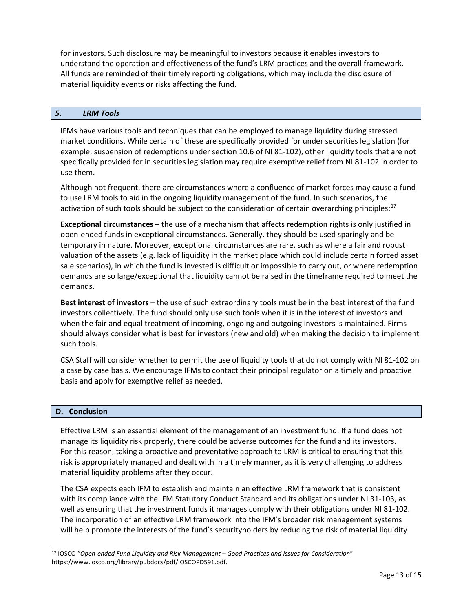for investors. Such disclosure may be meaningful to investors because it enables investors to understand the operation and effectiveness of the fund's LRM practices and the overall framework. All funds are reminded of their timely reporting obligations, which may include the disclosure of material liquidity events or risks affecting the fund.

### *5. LRM Tools*

IFMs have various tools and techniques that can be employed to manage liquidity during stressed market conditions. While certain of these are specifically provided for under securities legislation (for example, suspension of redemptions under section 10.6 of NI 81-102), other liquidity tools that are not specifically provided for in securities legislation may require exemptive relief from NI 81-102 in order to use them.

Although not frequent, there are circumstances where a confluence of market forces may cause a fund to use LRM tools to aid in the ongoing liquidity management of the fund. In such scenarios, the activation of such tools should be subject to the consideration of certain overarching principles:<sup>[17](#page-12-0)</sup>

**Exceptional circumstances** – the use of a mechanism that affects redemption rights is only justified in open-ended funds in exceptional circumstances. Generally, they should be used sparingly and be temporary in nature. Moreover, exceptional circumstances are rare, such as where a fair and robust valuation of the assets (e.g. lack of liquidity in the market place which could include certain forced asset sale scenarios), in which the fund is invested is difficult or impossible to carry out, or where redemption demands are so large/exceptional that liquidity cannot be raised in the timeframe required to meet the demands.

**Best interest of investors** – the use of such extraordinary tools must be in the best interest of the fund investors collectively. The fund should only use such tools when it is in the interest of investors and when the fair and equal treatment of incoming, ongoing and outgoing investors is maintained. Firms should always consider what is best for investors (new and old) when making the decision to implement such tools.

CSA Staff will consider whether to permit the use of liquidity tools that do not comply with NI 81-102 on a case by case basis. We encourage IFMs to contact their principal regulator on a timely and proactive basis and apply for exemptive relief as needed.

#### **D. Conclusion**

Effective LRM is an essential element of the management of an investment fund. If a fund does not manage its liquidity risk properly, there could be adverse outcomes for the fund and its investors. For this reason, taking a proactive and preventative approach to LRM is critical to ensuring that this risk is appropriately managed and dealt with in a timely manner, as it is very challenging to address material liquidity problems after they occur.

The CSA expects each IFM to establish and maintain an effective LRM framework that is consistent with its compliance with the IFM Statutory Conduct Standard and its obligations under NI 31-103, as well as ensuring that the investment funds it manages comply with their obligations under NI 81-102. The incorporation of an effective LRM framework into the IFM's broader risk management systems will help promote the interests of the fund's securityholders by reducing the risk of material liquidity

<span id="page-12-0"></span> <sup>17</sup> IOSCO "*Open-ended Fund Liquidity and Risk Management – Good Practices and Issues for Consideration*" [https://www.iosco.org/library/pubdocs/pdf/IOSCOPD591.pdf.](https://www.iosco.org/library/pubdocs/pdf/IOSCOPD591.pdf)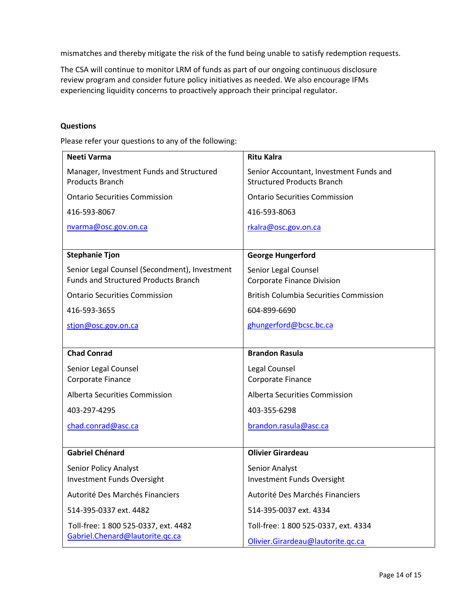mismatches and thereby mitigate the risk of the fund being unable to satisfy redemption requests.

The CSA will continue to monitor LRM of funds as part of our ongoing continuous disclosure review program and consider future policy initiatives as needed. We also encourage IFMs experiencing liquidity concerns to proactively approach their principal regulator.

#### **Questions**

Please refer your questions to any of the following:

| Neeti Varma                                                                                  | <b>Ritu Kalra</b>                                                            |
|----------------------------------------------------------------------------------------------|------------------------------------------------------------------------------|
| Manager, Investment Funds and Structured<br><b>Products Branch</b>                           | Senior Accountant, Investment Funds and<br><b>Structured Products Branch</b> |
| <b>Ontario Securities Commission</b>                                                         | <b>Ontario Securities Commission</b>                                         |
| 416-593-8067                                                                                 | 416-593-8063                                                                 |
| nvarma@osc.gov.on.ca                                                                         | rkalra@osc.gov.on.ca                                                         |
|                                                                                              |                                                                              |
| <b>Stephanie Tjon</b>                                                                        | <b>George Hungerford</b>                                                     |
| Senior Legal Counsel (Secondment), Investment<br><b>Funds and Structured Products Branch</b> | Senior Legal Counsel<br><b>Corporate Finance Division</b>                    |
|                                                                                              |                                                                              |
| <b>Ontario Securities Commission</b>                                                         | <b>British Columbia Securities Commission</b>                                |
| 416-593-3655                                                                                 | 604-899-6690                                                                 |
| stjon@osc.gov.on.ca                                                                          | ghungerford@bcsc.bc.ca                                                       |
|                                                                                              |                                                                              |
| <b>Chad Conrad</b>                                                                           | <b>Brandon Rasula</b>                                                        |
| Senior Legal Counsel                                                                         | Legal Counsel                                                                |
| Corporate Finance                                                                            | Corporate Finance                                                            |
| Alberta Securities Commission                                                                | Alberta Securities Commission                                                |
| 403-297-4295                                                                                 | 403-355-6298                                                                 |
| chad.conrad@asc.ca                                                                           | brandon.rasula@asc.ca                                                        |
|                                                                                              |                                                                              |
| <b>Gabriel Chénard</b>                                                                       | <b>Olivier Girardeau</b>                                                     |
| <b>Senior Policy Analyst</b>                                                                 | Senior Analyst                                                               |
| <b>Investment Funds Oversight</b>                                                            | Investment Funds Oversight                                                   |
| Autorité Des Marchés Financiers                                                              | Autorité Des Marchés Financiers                                              |
| 514-395-0337 ext. 4482                                                                       | 514-395-0037 ext. 4334                                                       |
| Toll-free: 1 800 525-0337, ext. 4482                                                         | Toll-free: 1 800 525-0337, ext. 4334                                         |
| Gabriel.Chenard@lautorite.gc.ca                                                              | Olivier.Girardeau@lautorite.qc.ca                                            |